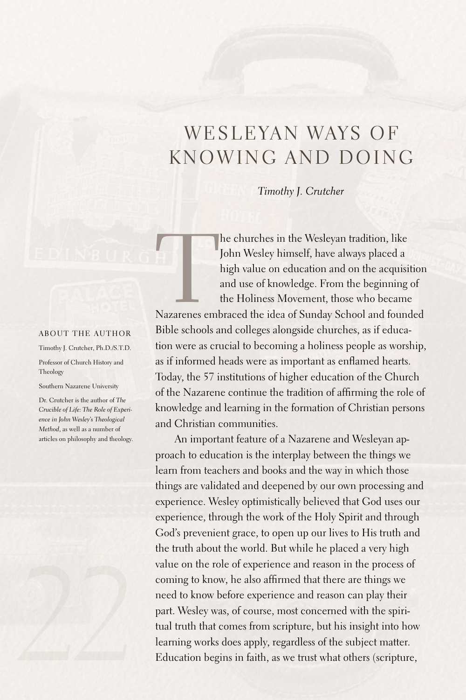## WESLEYAN WAYS OF KNOWING AND DOING

*Timothy J. Crutcher*

The churches in the Wesleyan tradition, like<br>
John Wesley himself, have always placed a<br>
high value on education and on the acquisition<br>
and use of knowledge. From the beginning of<br>
the Holiness Movement, those who became<br> John Wesley himself, have always placed a high value on education and on the acquisition and use of knowledge. From the beginning of the Holiness Movement, those who became

Bible schools and colleges alongside churches, as if education were as crucial to becoming a holiness people as worship, as if informed heads were as important as enflamed hearts. Today, the 57 institutions of higher education of the Church of the Nazarene continue the tradition of affirming the role of knowledge and learning in the formation of Christian persons and Christian communities.

An important feature of a Nazarene and Wesleyan approach to education is the interplay between the things we learn from teachers and books and the way in which those things are validated and deepened by our own processing and experience. Wesley optimistically believed that God uses our experience, through the work of the Holy Spirit and through God's prevenient grace, to open up our lives to His truth and the truth about the world. But while he placed a very high value on the role of experience and reason in the process of coming to know, he also affirmed that there are things we need to know before experience and reason can play their part. Wesley was, of course, most concerned with the spiritual truth that comes from scripture, but his insight into how learning works does apply, regardless of the subject matter. Education begins in faith, as we trust what others (scripture,

## About the author

Timothy J. Crutcher, Ph.D./S.T.D. Professor of Church History and

Southern Nazarene University

Theology

Dr. Crutcher is the author of *The Crucible of Life: The Role of Experience in John Wesley's Theological Method*, as well as a number of articles on philosophy and theology.

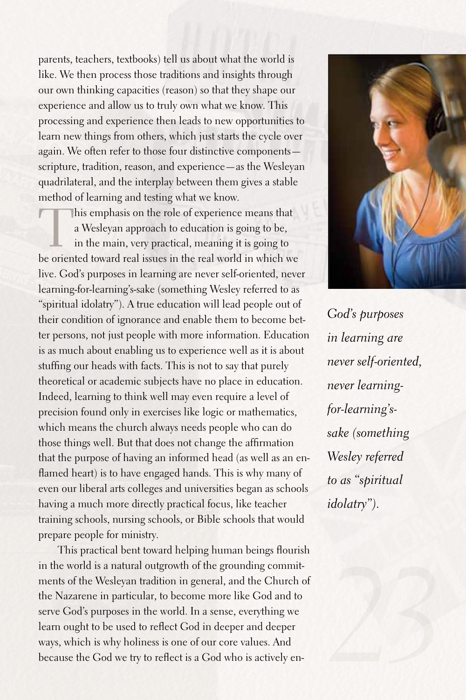parents, teachers, textbooks) tell us about what the world is like. We then process those traditions and insights through our own thinking capacities (reason) so that they shape our experience and allow us to truly own what we know. This processing and experience then leads to new opportunities to learn new things from others, which just starts the cycle over again. We often refer to those four distinctive components scripture, tradition, reason, and experience—as the Wesleyan quadrilateral, and the interplay between them gives a stable method of learning and testing what we know.

This emphasis on the role of experience means that a Wesleyan approach to education is going to be, in the main, very practical, meaning it is going to be oriented toward real issues in the real world in which we live. God's purposes in learning are never self-oriented, never learning-for-learning's-sake (something Wesley referred to as "spiritual idolatry"). A true education will lead people out of their condition of ignorance and enable them to become better persons, not just people with more information. Education is as much about enabling us to experience well as it is about stuffing our heads with facts. This is not to say that purely theoretical or academic subjects have no place in education. Indeed, learning to think well may even require a level of precision found only in exercises like logic or mathematics, which means the church always needs people who can do those things well. But that does not change the affirmation that the purpose of having an informed head (as well as an enflamed heart) is to have engaged hands. This is why many of even our liberal arts colleges and universities began as schools having a much more directly practical focus, like teacher training schools, nursing schools, or Bible schools that would prepare people for ministry.

This practical bent toward helping human beings flourish in the world is a natural outgrowth of the grounding commitments of the Wesleyan tradition in general, and the Church of the Nazarene in particular, to become more like God and to serve God's purposes in the world. In a sense, everything we learn ought to be used to reflect God in deeper and deeper ways, which is why holiness is one of our core values.And because the God we try to reflect is a God who is actively en-



*God's purposes in learning are never self-oriented, never learningfor-learning'ssake (something Wesley referred to as "spiritual idolatry").*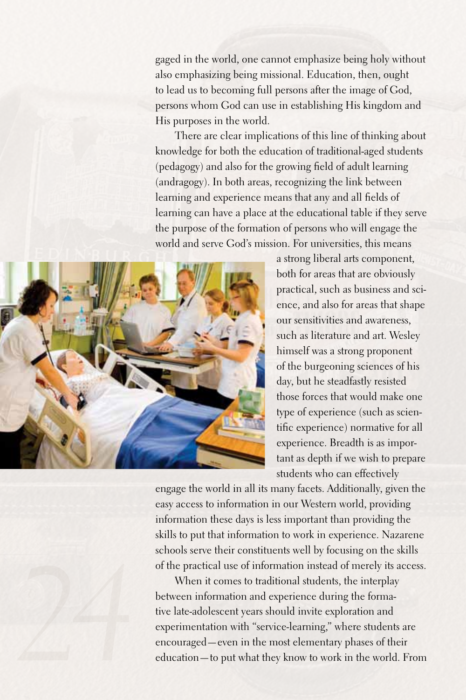gaged in the world, one cannot emphasize being holy without also emphasizing being missional.Education, then, ought to lead us to becoming full persons after the image of God, persons whom God can use in establishing His kingdom and His purposes in the world.

There are clear implications of this line of thinking about knowledge for both the education of traditional-aged students (pedagogy) and also for the growing field of adult learning (andragogy). In both areas, recognizing the link between learning and experience means that any and all fields of learning can have a place at the educational table if they serve the purpose of the formation of persons who will engage the world and serve God's mission. For universities, this means



a strong liberal arts component, both for areas that are obviously practical, such as business and science, and also for areas that shape our sensitivities and awareness, such as literature and art. Wesley himself was a strong proponent of the burgeoning sciences of his day, but he steadfastly resisted those forces that would make one type of experience (such as scientific experience) normative for all experience. Breadth is as important as depth if we wish to prepare students who can effectively

engage the world in all its many facets.Additionally, given the easy access to information in our Western world, providing information these days is less important than providing the skills to put that information to work in experience. Nazarene schools serve their constituents well by focusing on the skills of the practical use of information instead of merely its access.

When it comes to traditional students, the interplay between information and experience during the formative late-adolescent years should invite exploration and experimentation with "service-learning," where students are encouraged—even in the most elementary phases of their education—to put what they know to work in the world. From